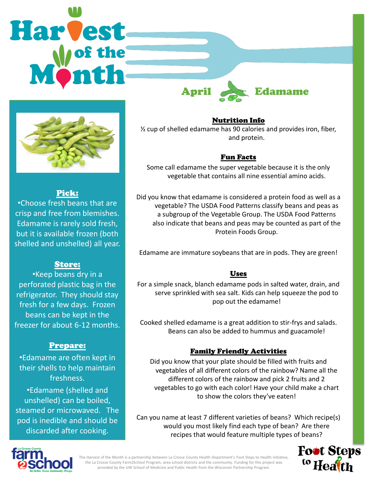



### Pick:

•Choose fresh beans that are crisp and free from blemishes. Edamame is rarely sold fresh, but it is available frozen (both shelled and unshelled) all year.

## Store:

•Keep beans dry in a perforated plastic bag in the refrigerator. They should stay fresh for a few days. Frozen beans can be kept in the freezer for about 6-12 months.

## Prepare:

•Edamame are often kept in their shells to help maintain freshness.

•Edamame (shelled and unshelled) can be boiled, steamed or microwaved. The pod is inedible and should be discarded after cooking.

Nutrition Info

½ cup of shelled edamame has 90 calories and provides iron, fiber, and protein.

## Fun Facts

Some call edamame the super vegetable because it is the only vegetable that contains all nine essential amino acids.

Did you know that edamame is considered a protein food as well as a vegetable? The USDA Food Patterns classify beans and peas as a subgroup of the Vegetable Group. The USDA Food Patterns also indicate that beans and peas may be counted as part of the Protein Foods Group.

Edamame are immature soybeans that are in pods. They are green!

### Uses

For a simple snack, blanch edamame pods in salted water, drain, and serve sprinkled with sea salt. Kids can help squeeze the pod to pop out the edamame!

Cooked shelled edamame is a great addition to stir-frys and salads. Beans can also be added to hummus and guacamole!

## Family Friendly Activities

Did you know that your plate should be filled with fruits and vegetables of all different colors of the rainbow? Name all the different colors of the rainbow and pick 2 fruits and 2 vegetables to go with each color! Have your child make a chart to show the colors they've eaten!

Can you name at least 7 different varieties of beans? Which recipe(s) would you most likely find each type of bean? Are there recipes that would feature multiple types of beans?





The Harvest of the Month is a partnership between La Crosse County Health Department's Foot Steps to Health initiative, the La Crosse County Farm2School Program, area school districts and the community. Funding for this project was provided by the UW School of Medicine and Public Health from the Wisconsin Partnership Program.